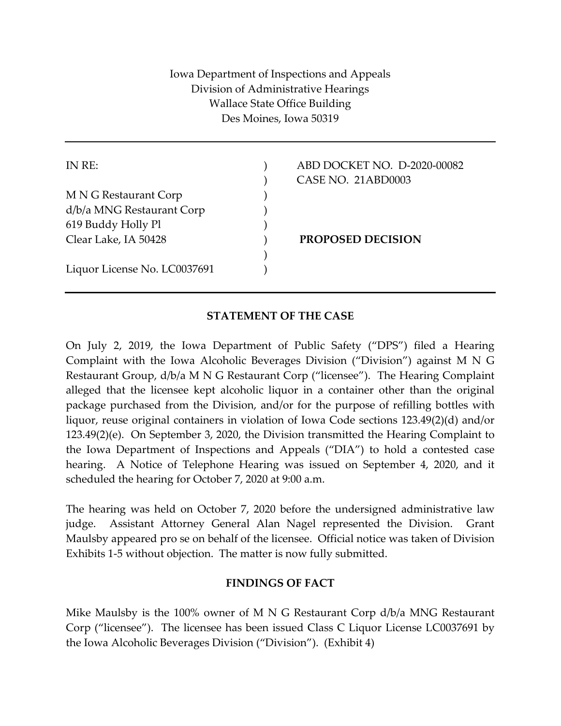Iowa Department of Inspections and Appeals Division of Administrative Hearings Wallace State Office Building Des Moines, Iowa 50319

M N G Restaurant Corp (1997) d/b/a MNG Restaurant Corp ) 619 Buddy Holly Pl ) Clear Lake, IA 50428 ) **PROPOSED DECISION**  $)$ 

Liquor License No. LC0037691 ()

IN RE: ) ABD DOCKET NO. D-2020-00082 ) CASE NO. 21ABD0003

## **STATEMENT OF THE CASE**

On July 2, 2019, the Iowa Department of Public Safety ("DPS") filed a Hearing Complaint with the Iowa Alcoholic Beverages Division ("Division") against M N G Restaurant Group, d/b/a M N G Restaurant Corp ("licensee"). The Hearing Complaint alleged that the licensee kept alcoholic liquor in a container other than the original package purchased from the Division, and/or for the purpose of refilling bottles with liquor, reuse original containers in violation of Iowa Code sections 123.49(2)(d) and/or 123.49(2)(e). On September 3, 2020, the Division transmitted the Hearing Complaint to the Iowa Department of Inspections and Appeals ("DIA") to hold a contested case hearing. A Notice of Telephone Hearing was issued on September 4, 2020, and it scheduled the hearing for October 7, 2020 at 9:00 a.m.

The hearing was held on October 7, 2020 before the undersigned administrative law judge. Assistant Attorney General Alan Nagel represented the Division. Grant Maulsby appeared pro se on behalf of the licensee. Official notice was taken of Division Exhibits 1-5 without objection. The matter is now fully submitted.

## **FINDINGS OF FACT**

Mike Maulsby is the 100% owner of M N G Restaurant Corp d/b/a MNG Restaurant Corp ("licensee"). The licensee has been issued Class C Liquor License LC0037691 by the Iowa Alcoholic Beverages Division ("Division"). (Exhibit 4)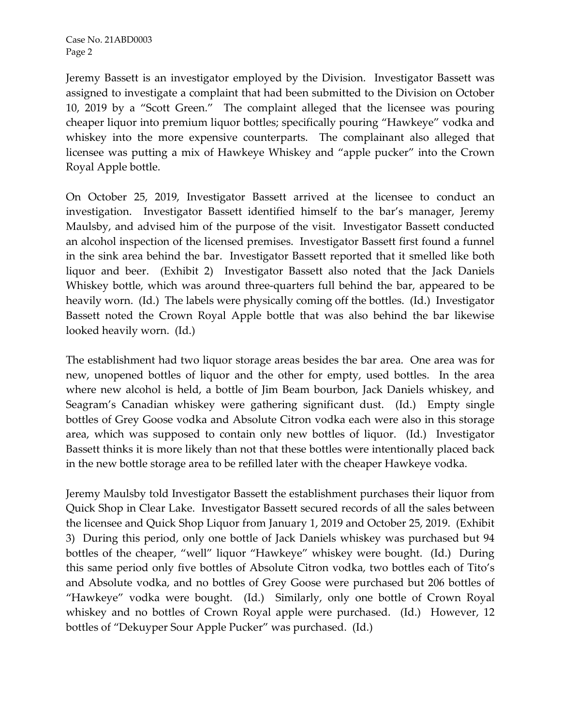Jeremy Bassett is an investigator employed by the Division. Investigator Bassett was assigned to investigate a complaint that had been submitted to the Division on October 10, 2019 by a "Scott Green." The complaint alleged that the licensee was pouring cheaper liquor into premium liquor bottles; specifically pouring "Hawkeye" vodka and whiskey into the more expensive counterparts. The complainant also alleged that licensee was putting a mix of Hawkeye Whiskey and "apple pucker" into the Crown Royal Apple bottle.

On October 25, 2019, Investigator Bassett arrived at the licensee to conduct an investigation. Investigator Bassett identified himself to the bar's manager, Jeremy Maulsby, and advised him of the purpose of the visit. Investigator Bassett conducted an alcohol inspection of the licensed premises. Investigator Bassett first found a funnel in the sink area behind the bar. Investigator Bassett reported that it smelled like both liquor and beer. (Exhibit 2) Investigator Bassett also noted that the Jack Daniels Whiskey bottle, which was around three-quarters full behind the bar, appeared to be heavily worn. (Id.) The labels were physically coming off the bottles. (Id.) Investigator Bassett noted the Crown Royal Apple bottle that was also behind the bar likewise looked heavily worn. (Id.)

The establishment had two liquor storage areas besides the bar area. One area was for new, unopened bottles of liquor and the other for empty, used bottles. In the area where new alcohol is held, a bottle of Jim Beam bourbon, Jack Daniels whiskey, and Seagram's Canadian whiskey were gathering significant dust. (Id.) Empty single bottles of Grey Goose vodka and Absolute Citron vodka each were also in this storage area, which was supposed to contain only new bottles of liquor. (Id.) Investigator Bassett thinks it is more likely than not that these bottles were intentionally placed back in the new bottle storage area to be refilled later with the cheaper Hawkeye vodka.

Jeremy Maulsby told Investigator Bassett the establishment purchases their liquor from Quick Shop in Clear Lake. Investigator Bassett secured records of all the sales between the licensee and Quick Shop Liquor from January 1, 2019 and October 25, 2019. (Exhibit 3) During this period, only one bottle of Jack Daniels whiskey was purchased but 94 bottles of the cheaper, "well" liquor "Hawkeye" whiskey were bought. (Id.) During this same period only five bottles of Absolute Citron vodka, two bottles each of Tito's and Absolute vodka, and no bottles of Grey Goose were purchased but 206 bottles of "Hawkeye" vodka were bought. (Id.) Similarly, only one bottle of Crown Royal whiskey and no bottles of Crown Royal apple were purchased. (Id.) However, 12 bottles of "Dekuyper Sour Apple Pucker" was purchased. (Id.)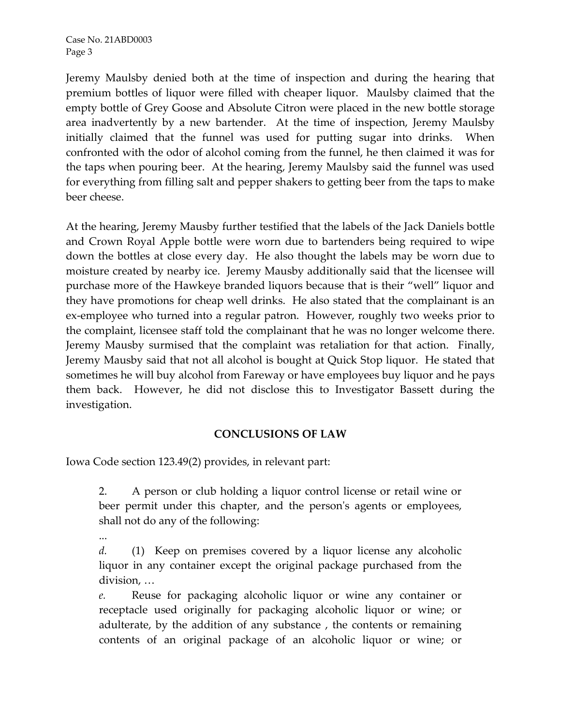Jeremy Maulsby denied both at the time of inspection and during the hearing that premium bottles of liquor were filled with cheaper liquor. Maulsby claimed that the empty bottle of Grey Goose and Absolute Citron were placed in the new bottle storage area inadvertently by a new bartender. At the time of inspection, Jeremy Maulsby initially claimed that the funnel was used for putting sugar into drinks. When confronted with the odor of alcohol coming from the funnel, he then claimed it was for the taps when pouring beer. At the hearing, Jeremy Maulsby said the funnel was used for everything from filling salt and pepper shakers to getting beer from the taps to make beer cheese.

At the hearing, Jeremy Mausby further testified that the labels of the Jack Daniels bottle and Crown Royal Apple bottle were worn due to bartenders being required to wipe down the bottles at close every day. He also thought the labels may be worn due to moisture created by nearby ice. Jeremy Mausby additionally said that the licensee will purchase more of the Hawkeye branded liquors because that is their "well" liquor and they have promotions for cheap well drinks. He also stated that the complainant is an ex-employee who turned into a regular patron. However, roughly two weeks prior to the complaint, licensee staff told the complainant that he was no longer welcome there. Jeremy Mausby surmised that the complaint was retaliation for that action. Finally, Jeremy Mausby said that not all alcohol is bought at Quick Stop liquor. He stated that sometimes he will buy alcohol from Fareway or have employees buy liquor and he pays them back. However, he did not disclose this to Investigator Bassett during the investigation.

## **CONCLUSIONS OF LAW**

Iowa Code section 123.49(2) provides, in relevant part:

2. A person or club holding a liquor control license or retail wine or beer permit under this chapter, and the person's agents or employees, shall not do any of the following:

...

*d.* (1) Keep on premises covered by a liquor license any alcoholic liquor in any container except the original package purchased from the division, …

*e.* Reuse for packaging alcoholic liquor or wine any container or receptacle used originally for packaging alcoholic liquor or wine; or adulterate, by the addition of any substance , the contents or remaining contents of an original package of an alcoholic liquor or wine; or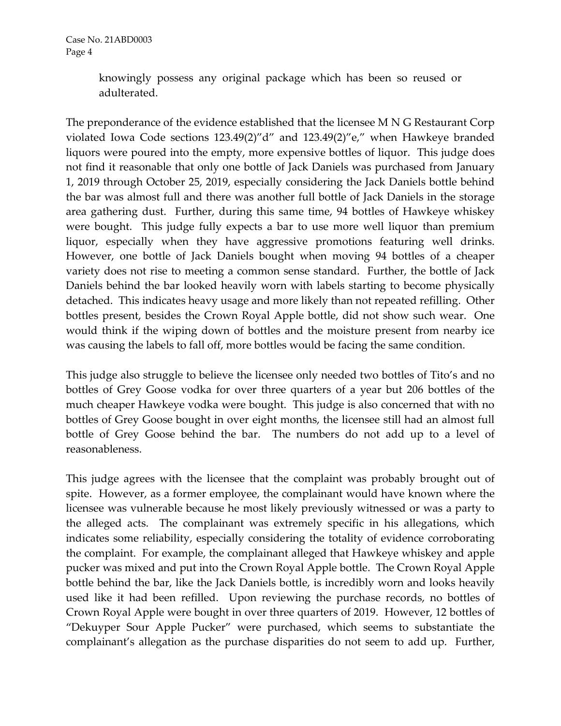knowingly possess any original package which has been so reused or adulterated.

The preponderance of the evidence established that the licensee M N G Restaurant Corp violated Iowa Code sections 123.49(2)"d" and 123.49(2)"e," when Hawkeye branded liquors were poured into the empty, more expensive bottles of liquor. This judge does not find it reasonable that only one bottle of Jack Daniels was purchased from January 1, 2019 through October 25, 2019, especially considering the Jack Daniels bottle behind the bar was almost full and there was another full bottle of Jack Daniels in the storage area gathering dust. Further, during this same time, 94 bottles of Hawkeye whiskey were bought. This judge fully expects a bar to use more well liquor than premium liquor, especially when they have aggressive promotions featuring well drinks. However, one bottle of Jack Daniels bought when moving 94 bottles of a cheaper variety does not rise to meeting a common sense standard. Further, the bottle of Jack Daniels behind the bar looked heavily worn with labels starting to become physically detached. This indicates heavy usage and more likely than not repeated refilling. Other bottles present, besides the Crown Royal Apple bottle, did not show such wear. One would think if the wiping down of bottles and the moisture present from nearby ice was causing the labels to fall off, more bottles would be facing the same condition.

This judge also struggle to believe the licensee only needed two bottles of Tito's and no bottles of Grey Goose vodka for over three quarters of a year but 206 bottles of the much cheaper Hawkeye vodka were bought. This judge is also concerned that with no bottles of Grey Goose bought in over eight months, the licensee still had an almost full bottle of Grey Goose behind the bar. The numbers do not add up to a level of reasonableness.

This judge agrees with the licensee that the complaint was probably brought out of spite. However, as a former employee, the complainant would have known where the licensee was vulnerable because he most likely previously witnessed or was a party to the alleged acts. The complainant was extremely specific in his allegations, which indicates some reliability, especially considering the totality of evidence corroborating the complaint. For example, the complainant alleged that Hawkeye whiskey and apple pucker was mixed and put into the Crown Royal Apple bottle. The Crown Royal Apple bottle behind the bar, like the Jack Daniels bottle, is incredibly worn and looks heavily used like it had been refilled. Upon reviewing the purchase records, no bottles of Crown Royal Apple were bought in over three quarters of 2019. However, 12 bottles of "Dekuyper Sour Apple Pucker" were purchased, which seems to substantiate the complainant's allegation as the purchase disparities do not seem to add up. Further,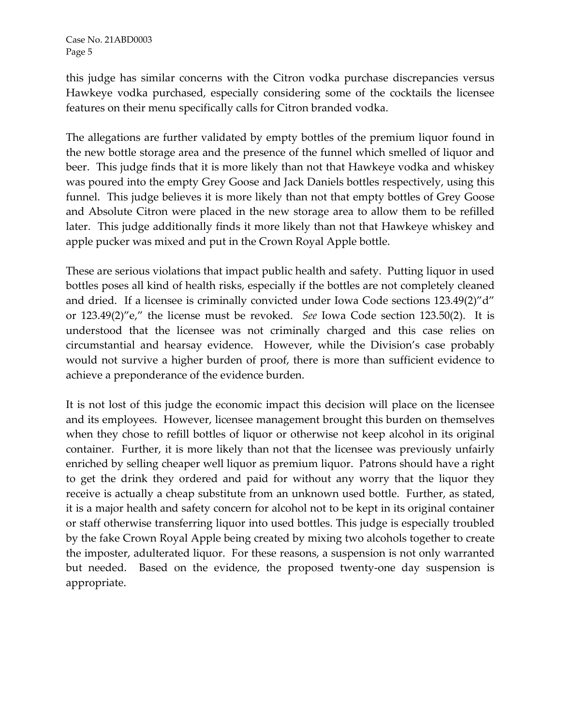this judge has similar concerns with the Citron vodka purchase discrepancies versus Hawkeye vodka purchased, especially considering some of the cocktails the licensee features on their menu specifically calls for Citron branded vodka.

The allegations are further validated by empty bottles of the premium liquor found in the new bottle storage area and the presence of the funnel which smelled of liquor and beer. This judge finds that it is more likely than not that Hawkeye vodka and whiskey was poured into the empty Grey Goose and Jack Daniels bottles respectively, using this funnel. This judge believes it is more likely than not that empty bottles of Grey Goose and Absolute Citron were placed in the new storage area to allow them to be refilled later. This judge additionally finds it more likely than not that Hawkeye whiskey and apple pucker was mixed and put in the Crown Royal Apple bottle.

These are serious violations that impact public health and safety. Putting liquor in used bottles poses all kind of health risks, especially if the bottles are not completely cleaned and dried. If a licensee is criminally convicted under Iowa Code sections 123.49(2)"d" or 123.49(2)"e," the license must be revoked. *See* Iowa Code section 123.50(2). It is understood that the licensee was not criminally charged and this case relies on circumstantial and hearsay evidence. However, while the Division's case probably would not survive a higher burden of proof, there is more than sufficient evidence to achieve a preponderance of the evidence burden.

It is not lost of this judge the economic impact this decision will place on the licensee and its employees. However, licensee management brought this burden on themselves when they chose to refill bottles of liquor or otherwise not keep alcohol in its original container. Further, it is more likely than not that the licensee was previously unfairly enriched by selling cheaper well liquor as premium liquor. Patrons should have a right to get the drink they ordered and paid for without any worry that the liquor they receive is actually a cheap substitute from an unknown used bottle. Further, as stated, it is a major health and safety concern for alcohol not to be kept in its original container or staff otherwise transferring liquor into used bottles. This judge is especially troubled by the fake Crown Royal Apple being created by mixing two alcohols together to create the imposter, adulterated liquor. For these reasons, a suspension is not only warranted but needed. Based on the evidence, the proposed twenty-one day suspension is appropriate.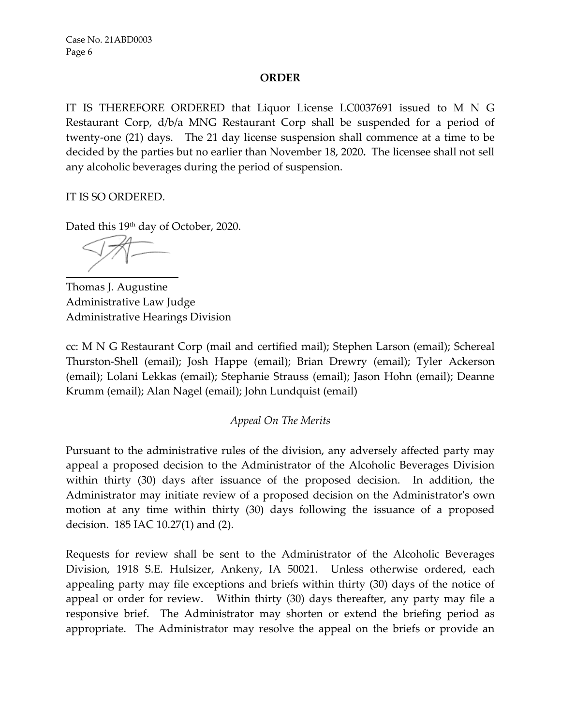## **ORDER**

IT IS THEREFORE ORDERED that Liquor License LC0037691 issued to M N G Restaurant Corp, d/b/a MNG Restaurant Corp shall be suspended for a period of twenty-one (21) days. The 21 day license suspension shall commence at a time to be decided by the parties but no earlier than November 18, 2020**.** The licensee shall not sell any alcoholic beverages during the period of suspension.

IT IS SO ORDERED.

Dated this 19<sup>th</sup> day of October, 2020.

Thomas J. Augustine Administrative Law Judge Administrative Hearings Division

cc: M N G Restaurant Corp (mail and certified mail); Stephen Larson (email); Schereal Thurston-Shell (email); Josh Happe (email); Brian Drewry (email); Tyler Ackerson (email); Lolani Lekkas (email); Stephanie Strauss (email); Jason Hohn (email); Deanne Krumm (email); Alan Nagel (email); John Lundquist (email)

*Appeal On The Merits*

Pursuant to the administrative rules of the division, any adversely affected party may appeal a proposed decision to the Administrator of the Alcoholic Beverages Division within thirty (30) days after issuance of the proposed decision. In addition, the Administrator may initiate review of a proposed decision on the Administrator's own motion at any time within thirty (30) days following the issuance of a proposed decision. 185 IAC 10.27(1) and (2).

Requests for review shall be sent to the Administrator of the Alcoholic Beverages Division, 1918 S.E. Hulsizer, Ankeny, IA 50021. Unless otherwise ordered, each appealing party may file exceptions and briefs within thirty (30) days of the notice of appeal or order for review. Within thirty (30) days thereafter, any party may file a responsive brief. The Administrator may shorten or extend the briefing period as appropriate. The Administrator may resolve the appeal on the briefs or provide an